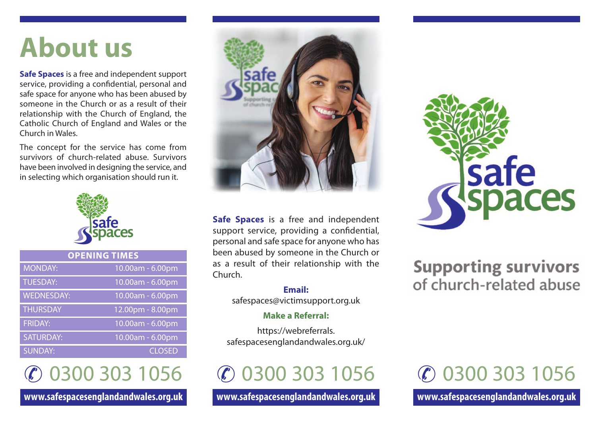# **About us**

**Safe Spaces** is a free and independent support service, providing a confidential, personal and safe space for anyone who has been abused by someone in the Church or as a result of their relationship with the Church of England, the Catholic Church of England and Wales or the Church in Wales.

The concept for the service has come from survivors of church-related abuse. Survivors have been involved in designing the service, and in selecting which organisation should run it.



| <b>OPENING TIMES</b> |                  |
|----------------------|------------------|
| <b>MONDAY:</b>       | 10.00am - 6.00pm |
| <b>TUESDAY:</b>      | 10.00am - 6.00pm |
| <b>WEDNESDAY:</b>    | 10.00am - 6.00pm |
| <b>THURSDAY</b>      | 12.00pm - 8.00pm |
| <b>FRIDAY:</b>       | 10.00am - 6.00pm |
| <b>SATURDAY:</b>     | 10.00am - 6.00pm |
| <b>SUNDAY:</b>       | <b>CLOSED</b>    |

✆ 0300 303 1056

**www.safespacesenglandandwales.org.uk**



**Safe Spaces** is a free and independent support service, providing a confidential, personal and safe space for anyone who has been abused by someone in the Church or as a result of their relationship with the Church.

> **Email:** safespaces@victimsupport.org.uk

#### **Make a Referral:**

https://webreferrals. safespacesenglandandwales.org.uk/

✆ 0300 303 1056

**www.safespacesenglandandwales.org.uk**



### **Supporting survivors** of church-related abuse

## ✆ 0300 303 1056

**www.safespacesenglandandwales.org.uk**